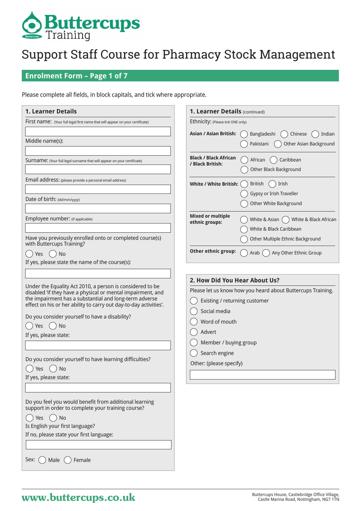

## **Enrolment Form – Page 1 of 7**

Please complete all fields, in block capitals, and tick where appropriate.

| <b>1. Learner Details</b>                                                                                                                                                                                                                                                                                                                                                                                                                             | 1. Learner Details (continued)                                                                                                                                                                                                                |
|-------------------------------------------------------------------------------------------------------------------------------------------------------------------------------------------------------------------------------------------------------------------------------------------------------------------------------------------------------------------------------------------------------------------------------------------------------|-----------------------------------------------------------------------------------------------------------------------------------------------------------------------------------------------------------------------------------------------|
| First name: (Your full legal first name that will appear on your certificate)                                                                                                                                                                                                                                                                                                                                                                         | Ethnicity: (Please tick ONE only)                                                                                                                                                                                                             |
| Middle name(s):                                                                                                                                                                                                                                                                                                                                                                                                                                       | <b>Asian / Asian British:</b><br>Bangladeshi<br>Chinese<br>Indian<br>Other Asian Background<br>Pakistani                                                                                                                                      |
| Surname: (Your full legal surname that will appear on your certificate)                                                                                                                                                                                                                                                                                                                                                                               | <b>Black / Black African</b><br>Caribbean<br>African<br>/ Black British:<br>Other Black Background                                                                                                                                            |
| Email address: (please provide a personal email address)                                                                                                                                                                                                                                                                                                                                                                                              | <b>White / White British:</b><br>Irish<br><b>British</b><br>Gypsy or Irish Traveller                                                                                                                                                          |
| Date of birth: (dd/mm/yyyy)                                                                                                                                                                                                                                                                                                                                                                                                                           | Other White Background                                                                                                                                                                                                                        |
| Employee number: (if applicable)<br>Have you previously enrolled onto or completed course(s)                                                                                                                                                                                                                                                                                                                                                          | <b>Mixed or multiple</b><br>White & Asian (<br>White & Black African<br>ethnic groups:<br>White & Black Caribbean<br>Other Multiple Ethnic Background                                                                                         |
| with Buttercups Training?<br>$()$ No<br>Yes<br>If yes, please state the name of the course(s):                                                                                                                                                                                                                                                                                                                                                        | Other ethnic group:<br>Any Other Ethnic Group<br>Arab (                                                                                                                                                                                       |
| Under the Equality Act 2010, a person is considered to be<br>disabled 'if they have a physical or mental impairment, and<br>the impairment has a substantial and long-term adverse<br>effect on his or her ability to carry out day-to-day activities'.<br>Do you consider yourself to have a disability?<br>$()$ No<br>Yes<br>If yes, please state:<br>Do you consider yourself to have learning difficulties?<br>No<br>Yes<br>If yes, please state: | 2. How Did You Hear About Us?<br>Please let us know how you heard about Buttercups Training.<br>Existing / returning customer<br>Social media<br>Word of mouth<br>Advert<br>Member / buying group<br>Search engine<br>Other: (please specify) |
| Do you feel you would benefit from additional learning<br>support in order to complete your training course?<br>No<br>Yes<br>Is English your first language?<br>If no, please state your first language:<br>Sex:<br>Female<br>Male                                                                                                                                                                                                                    |                                                                                                                                                                                                                                               |

# **Buttercups House, Castlebridge Office Village,** Buttercups House, Castlebridge Office Village, Castle Marina Road, Nottingham, NG7 1TN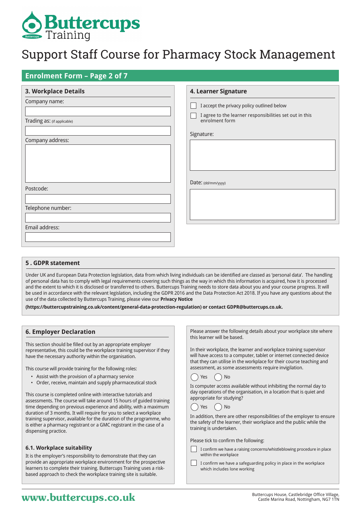

## **Enrolment Form – Page 2 of 7**

| <b>3. Workplace Details</b> | 4. Learner Signature                                                      |
|-----------------------------|---------------------------------------------------------------------------|
| Company name:               | I accept the privacy policy outlined below                                |
| Trading as: (if applicable) | I agree to the learner responsibilities set out in this<br>enrolment form |
| Company address:            | Signature:                                                                |
|                             |                                                                           |
|                             |                                                                           |
|                             |                                                                           |
| Postcode:                   | Date: (dd/mm/yyyy)                                                        |
|                             |                                                                           |
| Telephone number:           |                                                                           |
| Email address:              |                                                                           |
|                             |                                                                           |
|                             |                                                                           |

#### **5 . GDPR statement**

Under UK and European Data Protection legislation, data from which living individuals can be identified are classed as 'personal data'. The handling of personal data has to comply with legal requirements covering such things as the way in which this information is acquired, how it is processed and the extent to which it is disclosed or transferred to others. Buttercups Training needs to store data about you and your course progress. It will be used in accordance with the relevant legislation, including the GDPR 2016 and the Data Protection Act 2018. If you have any questions about the use of the data collected by Buttercups Training, please view our **Privacy Notice** 

**(https://buttercupstraining.co.uk/content/general-data-protection-regulation) or contact GDPR@buttercups.co.uk.**

#### **6. Employer Declaration**

This section should be filled out by an appropriate employer representative, this could be the workplace training supervisor if they have the necessary authority within the organisation.

This course will provide training for the following roles:

- Assist with the provision of a pharmacy service
- Order, receive, maintain and supply pharmaceutical stock

This course is completed online with interactive tutorials and assessments. The course will take around 15 hours of guided training time depending on previous experience and ability, with a maximum duration of 3 months. It will require for you to select a workplace training supervisor, available for the duration of the programme, who is either a pharmacy registrant or a GMC registrant in the case of a dispensing practice.

#### **6.1. Workplace suitability**

It is the employer's responsibility to demonstrate that they can provide an appropriate workplace environment for the prospective learners to complete their training. Buttercups Training uses a riskbased approach to check the workplace training site is suitable.

Please answer the following details about your workplace site where this learner will be based.

In their workplace, the learner and workplace training supervisor will have access to a computer, tablet or internet connected device that they can utilise in the workplace for their course teaching and assessment, as some assessments require invigilation.



Is computer access available without inhibiting the normal day to day operations of the organisation, in a location that is quiet and appropriate for studying?



In addition, there are other responsibilities of the employer to ensure the safety of the learner, their workplace and the public while the training is undertaken.

Please tick to confirm the following:

I confirm we have a raising concerns/whistleblowing procedure in place within the workplace

I confirm we have a safeguarding policy in place in the workplace which includes lone working

# **WWW.buttercups.co.uk** Buttercups House, Castlebridge Office Village, **WWW.butterCupS.co.uk** Castle Marina Road, Nottingham, NG7 1TN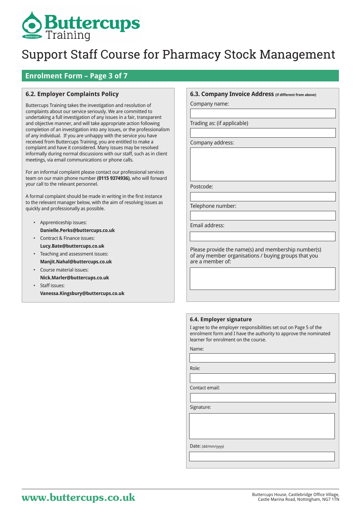# **Buttercups**

# Support Staff Course for Pharmacy Stock Management

## **Enrolment Form – Page 3 of 7**

## **6.2. Employer Complaints Policy**

Buttercups Training takes the investigation and resolution of complaints about our service seriously. We are committed to undertaking a full investigation of any issues in a fair, transparent and objective manner, and will take appropriate action following completion of an investigation into any issues, or the professionalism of any individual. If you are unhappy with the service you have received from Buttercups Training, you are entitled to make a complaint and have it considered. Many issues may be resolved informally during normal discussions with our staff, such as in client meetings, via email communications or phone calls.

For an informal complaint please contact our professional services team on our main phone number **(0115 9374936)**, who will forward your call to the relevant personnel.

A formal complaint should be made in writing in the first instance to the relevant manager below, with the aim of resolving issues as quickly and professionally as possible.

- Apprenticeship issues: **Danielle.Perks@buttercups.co.uk**
- Contract & Finance issues: **Lucy.Bate@buttercups.co.uk**
- Teaching and assessment issues: **Manjit.Nahal@buttercups.co.uk**
- Course material issues: **Nick.Marler@buttercups.co.uk** • Staff issues:

**Vanessa.Kingsbury@buttercups.co.uk**

#### **6.3. Company Invoice Address (if different from above)**

Company name:

Trading as: (if applicable)

Company address:

Postcode:

Telephone number:

Email address:

Please provide the name(s) and membership number(s) of any member organisations / buying groups that you are a member of:

#### **6.4. Employer signature**

I agree to the employer responsibilities set out on Page 5 of the enrolment form and I have the authority to approve the nominated learner for enrolment on the course.

Name:

Role:

Contact email:

Signature:

Date: (dd/mm/yyyy)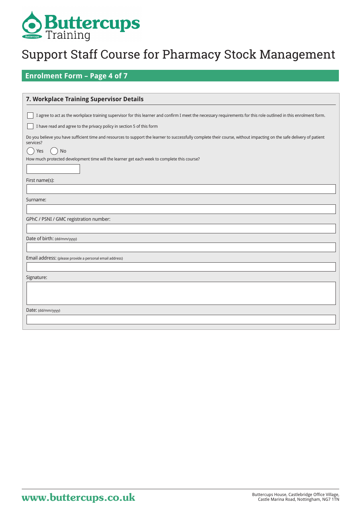

## **Enrolment Form – Page 4 of 7**

| 7. Workplace Training Supervisor Details                                                                                                                                                                                                                                                       |
|------------------------------------------------------------------------------------------------------------------------------------------------------------------------------------------------------------------------------------------------------------------------------------------------|
| I agree to act as the workplace training supervisor for this learner and confirm I meet the necessary requirements for this role outlined in this enrolment form.                                                                                                                              |
| I have read and agree to the privacy policy in section 5 of this form                                                                                                                                                                                                                          |
| Do you believe you have sufficient time and resources to support the learner to successfully complete their course, without impacting on the safe delivery of patient<br>services?<br>No<br>Yes<br>How much protected development time will the learner get each week to complete this course? |
|                                                                                                                                                                                                                                                                                                |
| First name(s):                                                                                                                                                                                                                                                                                 |
|                                                                                                                                                                                                                                                                                                |
| Surname:                                                                                                                                                                                                                                                                                       |
|                                                                                                                                                                                                                                                                                                |
| GPhC / PSNI / GMC registration number:                                                                                                                                                                                                                                                         |
|                                                                                                                                                                                                                                                                                                |
| Date of birth: (dd/mm/yyyy)                                                                                                                                                                                                                                                                    |
|                                                                                                                                                                                                                                                                                                |
| Email address: (please provide a personal email address)                                                                                                                                                                                                                                       |
|                                                                                                                                                                                                                                                                                                |
| Signature:                                                                                                                                                                                                                                                                                     |
|                                                                                                                                                                                                                                                                                                |
| Date: (dd/mm/yyyy)                                                                                                                                                                                                                                                                             |
|                                                                                                                                                                                                                                                                                                |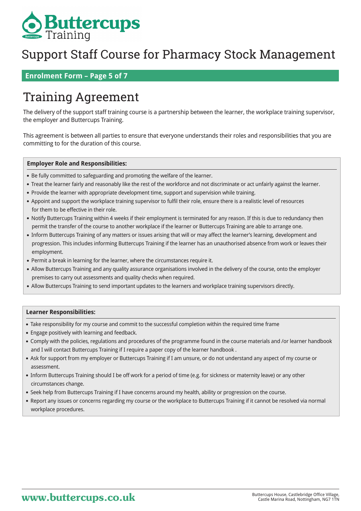

## **Enrolment Form – Page 5 of 7**

# Training Agreement

The delivery of the support staff training course is a partnership between the learner, the workplace training supervisor, the employer and Buttercups Training.

This agreement is between all parties to ensure that everyone understands their roles and responsibilities that you are committing to for the duration of this course.

#### **Employer Role and Responsibilities:**

- Be fully committed to safeguarding and promoting the welfare of the learner.
- Treat the learner fairly and reasonably like the rest of the workforce and not discriminate or act unfairly against the learner.
- Provide the learner with appropriate development time, support and supervision while training.
- Appoint and support the workplace training supervisor to fulfil their role, ensure there is a realistic level of resources for them to be effective in their role.
- Notify Buttercups Training within 4 weeks if their employment is terminated for any reason. If this is due to redundancy then permit the transfer of the course to another workplace if the learner or Buttercups Training are able to arrange one.
- Inform Buttercups Training of any matters or issues arising that will or may affect the learner's learning, development and progression. This includes informing Buttercups Training if the learner has an unauthorised absence from work or leaves their employment.
- Permit a break in learning for the learner, where the circumstances require it.
- Allow Buttercups Training and any quality assurance organisations involved in the delivery of the course, onto the employer premises to carry out assessments and quality checks when required.
- Allow Buttercups Training to send important updates to the learners and workplace training supervisors directly.

#### **Learner Responsibilities:**

- Take responsibility for my course and commit to the successful completion within the required time frame
- Engage positively with learning and feedback.
- Comply with the policies, regulations and procedures of the programme found in the course materials and /or learner handbook and I will contact Buttercups Training if I require a paper copy of the learner handbook .
- Ask for support from my employer or Buttercups Training if I am unsure, or do not understand any aspect of my course or assessment.
- Inform Buttercups Training should I be off work for a period of time (e.g. for sickness or maternity leave) or any other circumstances change.
- Seek help from Buttercups Training if I have concerns around my health, ability or progression on the course.
- Report any issues or concerns regarding my course or the workplace to Buttercups Training if it cannot be resolved via normal workplace procedures.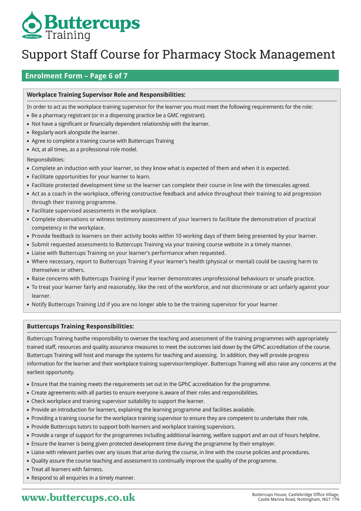

## **Enrolment Form – Page 6 of 7**

## **Workplace Training Supervisor Role and Responsibilities:**

In order to act as the workplace training supervisor for the learner you must meet the following requirements for the role:

- Be a pharmacy registrant (or in a dispensing practice be a GMC registrant).
- Not have a significant or financially dependent relationship with the learner.
- Regularly work alongside the learner.
- Agree to complete a training course with Buttercups Training
- Act, at all times, as a professional role model.
- Responsibilities:
- Complete an induction with your learner, so they know what is expected of them and when it is expected.
- Facilitate opportunities for your learner to learn.
- Facilitate protected development time so the learner can complete their course in line with the timescales agreed.
- Act as a coach in the workplace, offering constructive feedback and advice throughout their training to aid progression through their training programme.
- Facilitate supervised assessments in the workplace.
- Complete observations or witness testimony assessment of your learners to facilitate the demonstration of practical competency in the workplace.
- Provide feedback to learners on their activity books within 10 working days of them being presented by your learner.
- Submit requested assessments to Buttercups Training via your training course website in a timely manner.
- Liaise with Buttercups Training on your learner's performance when requested.
- Where necessary, report to Buttercups Training if your learner's health (physical or mental) could be causing harm to themselves or others.
- Raise concerns with Buttercups Training if your learner demonstrates unprofessional behaviours or unsafe practice.
- To treat your learner fairly and reasonably, like the rest of the workforce, and not discriminate or act unfairly against your learner.
- Notify Buttercups Training Ltd if you are no longer able to be the training supervisor for your learner.

## **Buttercups Training Responsibilities:**

Buttercups Training hasthe responsibility to oversee the teaching and assessment of the training programmes with appropriately trained staff, resources and quality assurance measures to meet the outcomes laid down by the GPhC accreditation of the course. Buttercups Training will host and manage the systems for teaching and assessing. In addition, they will provide progress information for the learner and their workplace training supervisor/employer. Buttercups Training will also raise any concerns at the earliest opportunity.

- Ensure that the training meets the requirements set out in the GPhC accreditation for the programme.
- Create agreements with all parties to ensure everyone is aware of their roles and responsibilities.
- Check workplace and training supervisor suitability to support the learner.
- Provide an introduction for learners, explaining the learning programme and facilities available.
- Providing a training course for the workplace training supervisor to ensure they are competent to undertake their role.
- Provide Buttercups tutors to support both learners and workplace training supervisors.
- Provide a range of support for the programmes including additional learning, welfare support and an out of hours helpline.
- Ensure the learner is being given protected development time during the programme by their employer.
- Liaise with relevant parties over any issues that arise during the course, in line with the course policies and procedures.
- Quality assure the course teaching and assessment to continually improve the quality of the programme.
- Treat all learners with fairness.
- Respond to all enquiries in a timely manner.

# **WWW.buttercups.co.uk** Buttercups House, Castlebridge Office Village,